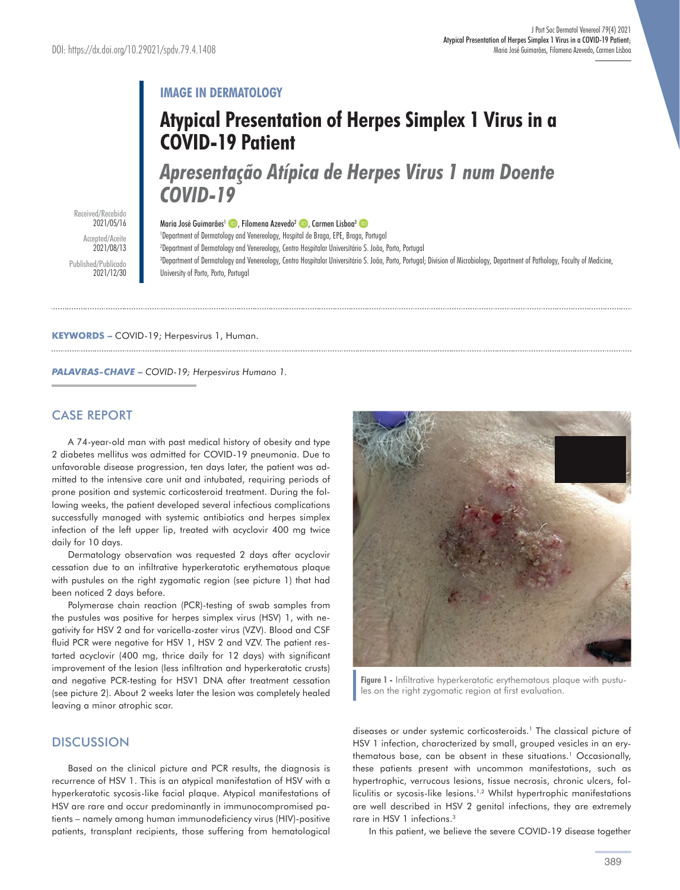# **IMAGE IN DERMATOLOGY**

# **Atypical Presentation of Herpes Simplex 1 Virus in a COVID-19 Patient**

*Apresentação Atípica de Herpes Virus 1 num Doente COVID-19*

Received/Recebido 2021/05/16 Accepted/Aceite 2021/08/13 Published/Publicado 2021/12/30

Maria José Guimarães<sup>1</sup> **D**. Filomena Azevedo<sup>2</sup> D. Carmen Lisboa<sup>3</sup> D

1 Department of Dermatology and Venereology, Hospital de Braga, EPE, Braga, Portugal

2 Department of Dermatology and Venereology, Centro Hospitalar Universitário S. João, Porto, Portugal

3 Department of Dermatology and Venereology, Centro Hospitalar Universitário S. João, Porto, Portugal; Division of Microbiology, Department of Pathology, Faculty of Medicine, University of Porto, Porto, Portugal

### **KEYWORDS –** COVID-19; Herpesvirus 1, Human.

*PALAVRAS-CHAVE* **–** *COVID-19; Herpesvirus Humano 1.*

## CASE REPORT

A 74-year-old man with past medical history of obesity and type 2 diabetes mellitus was admitted for COVID-19 pneumonia. Due to unfavorable disease progression, ten days later, the patient was admitted to the intensive care unit and intubated, requiring periods of prone position and systemic corticosteroid treatment. During the following weeks, the patient developed several infectious complications successfully managed with systemic antibiotics and herpes simplex infection of the left upper lip, treated with acyclovir 400 mg twice daily for 10 days.

Dermatology observation was requested 2 days after acyclovir cessation due to an infiltrative hyperkeratotic erythematous plaque with pustules on the right zygomatic region (see picture 1) that had been noticed 2 days before.

Polymerase chain reaction (PCR)-testing of swab samples from the pustules was positive for herpes simplex virus (HSV) 1, with negativity for HSV 2 and for varicella-zoster virus (VZV). Blood and CSF fluid PCR were negative for HSV 1, HSV 2 and VZV. The patient restarted acyclovir (400 mg, thrice daily for 12 days) with significant improvement of the lesion (less infiltration and hyperkeratotic crusts) and negative PCR-testing for HSV1 DNA after treatment cessation (see picture 2). About 2 weeks later the lesion was completely healed leaving a minor atrophic scar.

# **DISCUSSION**

Based on the clinical picture and PCR results, the diagnosis is recurrence of HSV 1. This is an atypical manifestation of HSV with a hyperkeratotic sycosis-like facial plaque. Atypical manifestations of HSV are rare and occur predominantly in immunocompromised patients – namely among human immunodeficiency virus (HIV)-positive patients, transplant recipients, those suffering from hematological



**Figure 1 -** Infiltrative hyperkeratotic erythematous plaque with pustules on the right zygomatic region at first evaluation.

diseases or under systemic corticosteroids.<sup>1</sup> The classical picture of HSV 1 infection, characterized by small, grouped vesicles in an erythematous base, can be absent in these situations.<sup>1</sup> Occasionally, these patients present with uncommon manifestations, such as hypertrophic, verrucous lesions, tissue necrosis, chronic ulcers, folliculitis or sycosis-like lesions.1,2 Whilst hypertrophic manifestations are well described in HSV 2 genital infections, they are extremely rare in HSV 1 infections.3

In this patient, we believe the severe COVID-19 disease together